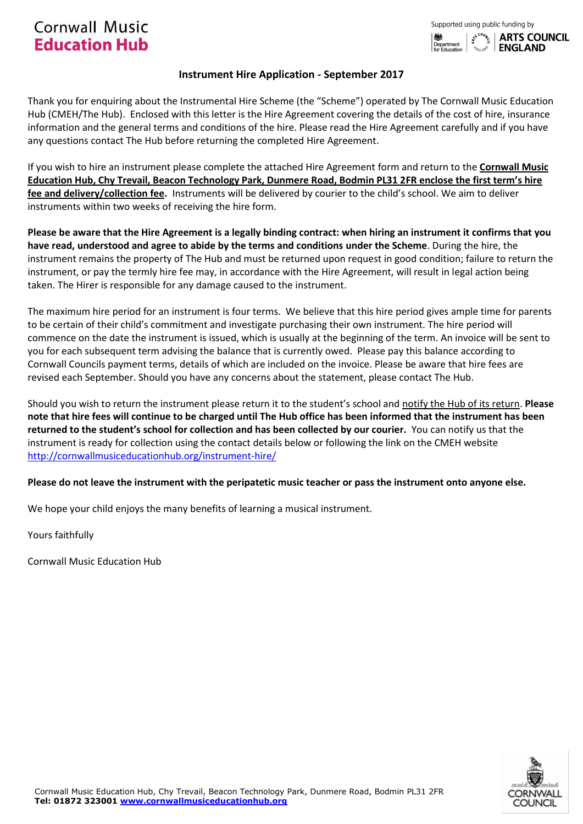

# **Instrument Hire Application - September 2017**

Thank you for enquiring about the Instrumental Hire Scheme (the "Scheme") operated by The Cornwall Music Education Hub (CMEH/The Hub). Enclosed with this letter is the Hire Agreement covering the details of the cost of hire, insurance information and the general terms and conditions of the hire. Please read the Hire Agreement carefully and if you have any questions contact The Hub before returning the completed Hire Agreement.

If you wish to hire an instrument please complete the attached Hire Agreement form and return to the **Cornwall Music Education Hub, Chy Trevail, Beacon Technology Park, Dunmere Road, Bodmin PL31 2FR enclose the first term's hire fee and delivery/collection fee.** Instruments will be delivered by courier to the child's school. We aim to deliver instruments within two weeks of receiving the hire form.

**Please be aware that the Hire Agreement is a legally binding contract: when hiring an instrument it confirms that you have read, understood and agree to abide by the terms and conditions under the Scheme**. During the hire, the instrument remains the property of The Hub and must be returned upon request in good condition; failure to return the instrument, or pay the termly hire fee may, in accordance with the Hire Agreement, will result in legal action being taken. The Hirer is responsible for any damage caused to the instrument.

The maximum hire period for an instrument is four terms. We believe that this hire period gives ample time for parents to be certain of their child's commitment and investigate purchasing their own instrument. The hire period will commence on the date the instrument is issued, which is usually at the beginning of the term. An invoice will be sent to you for each subsequent term advising the balance that is currently owed.Please pay this balance according to Cornwall Councils payment terms, details of which are included on the invoice. Please be aware that hire fees are revised each September. Should you have any concerns about the statement, please contact The Hub.

Should you wish to return the instrument please return it to the student's school and notify the Hub of its return. **Please note that hire fees will continue to be charged until The Hub office has been informed that the instrument has been returned to the student's school for collection and has been collected by our courier.** You can notify us that the instrument is ready for collection using the contact details below or following the link on the CMEH website <http://cornwallmusiceducationhub.org/instrument-hire/>

# **Please do not leave the instrument with the peripatetic music teacher or pass the instrument onto anyone else.**

We hope your child enjoys the many benefits of learning a musical instrument.

Yours faithfully

Cornwall Music Education Hub

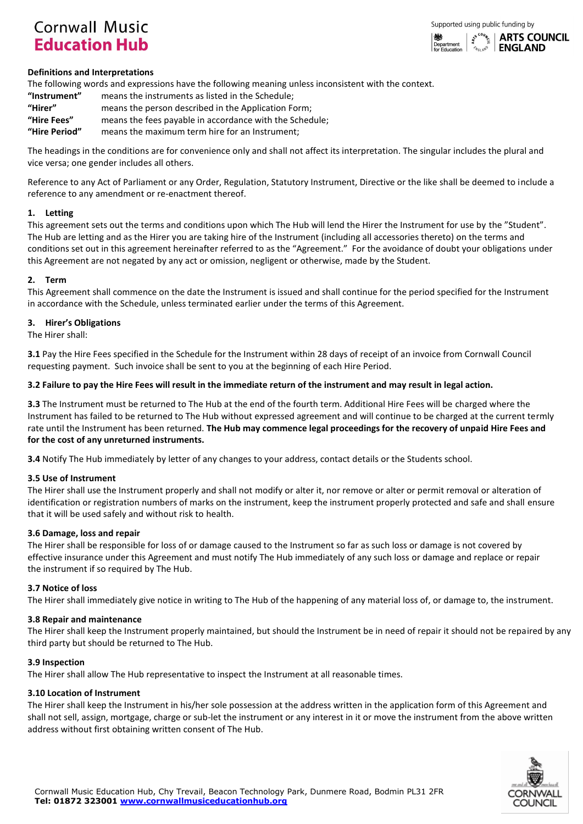

## **Definitions and Interpretations**

The following words and expressions have the following meaning unless inconsistent with the context.

| "Instrument"  | means the instruments as listed in the Schedule;        |
|---------------|---------------------------------------------------------|
| "Hirer"       | means the person described in the Application Form;     |
| "Hire Fees"   | means the fees payable in accordance with the Schedule; |
| "Hire Period" | means the maximum term hire for an Instrument:          |

The headings in the conditions are for convenience only and shall not affect its interpretation. The singular includes the plural and vice versa; one gender includes all others.

Reference to any Act of Parliament or any Order, Regulation, Statutory Instrument, Directive or the like shall be deemed to include a reference to any amendment or re-enactment thereof.

#### **1. Letting**

This agreement sets out the terms and conditions upon which The Hub will lend the Hirer the Instrument for use by the "Student". The Hub are letting and as the Hirer you are taking hire of the Instrument (including all accessories thereto) on the terms and conditions set out in this agreement hereinafter referred to as the "Agreement." For the avoidance of doubt your obligations under this Agreement are not negated by any act or omission, negligent or otherwise, made by the Student.

#### **2. Term**

This Agreement shall commence on the date the Instrument is issued and shall continue for the period specified for the Instrument in accordance with the Schedule, unless terminated earlier under the terms of this Agreement.

#### **3. Hirer's Obligations**

The Hirer shall:

**3.1** Pay the Hire Fees specified in the Schedule for the Instrument within 28 days of receipt of an invoice from Cornwall Council requesting payment. Such invoice shall be sent to you at the beginning of each Hire Period.

## **3.2 Failure to pay the Hire Fees will result in the immediate return of the instrument and may result in legal action.**

**3.3** The Instrument must be returned to The Hub at the end of the fourth term. Additional Hire Fees will be charged where the Instrument has failed to be returned to The Hub without expressed agreement and will continue to be charged at the current termly rate until the Instrument has been returned. **The Hub may commence legal proceedings for the recovery of unpaid Hire Fees and for the cost of any unreturned instruments.**

**3.4** Notify The Hub immediately by letter of any changes to your address, contact details or the Students school.

## **3.5 Use of Instrument**

The Hirer shall use the Instrument properly and shall not modify or alter it, nor remove or alter or permit removal or alteration of identification or registration numbers of marks on the instrument, keep the instrument properly protected and safe and shall ensure that it will be used safely and without risk to health.

## **3.6 Damage, loss and repair**

The Hirer shall be responsible for loss of or damage caused to the Instrument so far as such loss or damage is not covered by effective insurance under this Agreement and must notify The Hub immediately of any such loss or damage and replace or repair the instrument if so required by The Hub.

#### **3.7 Notice of loss**

The Hirer shall immediately give notice in writing to The Hub of the happening of any material loss of, or damage to, the instrument.

## **3.8 Repair and maintenance**

The Hirer shall keep the Instrument properly maintained, but should the Instrument be in need of repair it should not be repaired by any third party but should be returned to The Hub.

## **3.9 Inspection**

The Hirer shall allow The Hub representative to inspect the Instrument at all reasonable times.

## **3.10 Location of Instrument**

The Hirer shall keep the Instrument in his/her sole possession at the address written in the application form of this Agreement and shall not sell, assign, mortgage, charge or sub-let the instrument or any interest in it or move the instrument from the above written address without first obtaining written consent of The Hub.

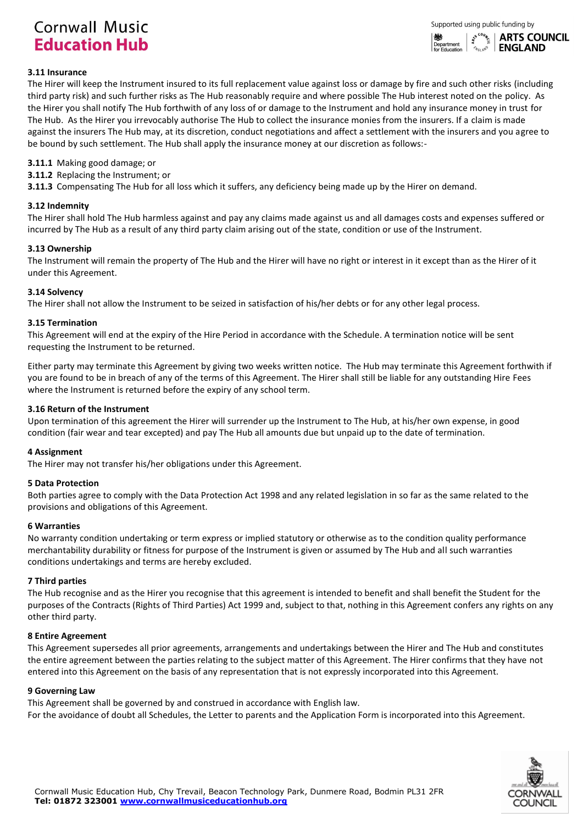

# **3.11 Insurance**

The Hirer will keep the Instrument insured to its full replacement value against loss or damage by fire and such other risks (including third party risk) and such further risks as The Hub reasonably require and where possible The Hub interest noted on the policy. As the Hirer you shall notify The Hub forthwith of any loss of or damage to the Instrument and hold any insurance money in trust for The Hub. As the Hirer you irrevocably authorise The Hub to collect the insurance monies from the insurers. If a claim is made against the insurers The Hub may, at its discretion, conduct negotiations and affect a settlement with the insurers and you agree to be bound by such settlement. The Hub shall apply the insurance money at our discretion as follows:-

# **3.11.1** Making good damage; or

**3.11.2** Replacing the Instrument; or

**3.11.3** Compensating The Hub for all loss which it suffers, any deficiency being made up by the Hirer on demand.

## **3.12 Indemnity**

The Hirer shall hold The Hub harmless against and pay any claims made against us and all damages costs and expenses suffered or incurred by The Hub as a result of any third party claim arising out of the state, condition or use of the Instrument.

## **3.13 Ownership**

The Instrument will remain the property of The Hub and the Hirer will have no right or interest in it except than as the Hirer of it under this Agreement.

#### **3.14 Solvency**

The Hirer shall not allow the Instrument to be seized in satisfaction of his/her debts or for any other legal process.

#### **3.15 Termination**

This Agreement will end at the expiry of the Hire Period in accordance with the Schedule. A termination notice will be sent requesting the Instrument to be returned.

Either party may terminate this Agreement by giving two weeks written notice. The Hub may terminate this Agreement forthwith if you are found to be in breach of any of the terms of this Agreement. The Hirer shall still be liable for any outstanding Hire Fees where the Instrument is returned before the expiry of any school term.

#### **3.16 Return of the Instrument**

Upon termination of this agreement the Hirer will surrender up the Instrument to The Hub, at his/her own expense, in good condition (fair wear and tear excepted) and pay The Hub all amounts due but unpaid up to the date of termination.

## **4 Assignment**

The Hirer may not transfer his/her obligations under this Agreement.

## **5 Data Protection**

Both parties agree to comply with the Data Protection Act 1998 and any related legislation in so far as the same related to the provisions and obligations of this Agreement.

#### **6 Warranties**

No warranty condition undertaking or term express or implied statutory or otherwise as to the condition quality performance merchantability durability or fitness for purpose of the Instrument is given or assumed by The Hub and all such warranties conditions undertakings and terms are hereby excluded.

## **7 Third parties**

The Hub recognise and as the Hirer you recognise that this agreement is intended to benefit and shall benefit the Student for the purposes of the Contracts (Rights of Third Parties) Act 1999 and, subject to that, nothing in this Agreement confers any rights on any other third party.

## **8 Entire Agreement**

This Agreement supersedes all prior agreements, arrangements and undertakings between the Hirer and The Hub and constitutes the entire agreement between the parties relating to the subject matter of this Agreement. The Hirer confirms that they have not entered into this Agreement on the basis of any representation that is not expressly incorporated into this Agreement.

#### **9 Governing Law**

This Agreement shall be governed by and construed in accordance with English law. For the avoidance of doubt all Schedules, the Letter to parents and the Application Form is incorporated into this Agreement.

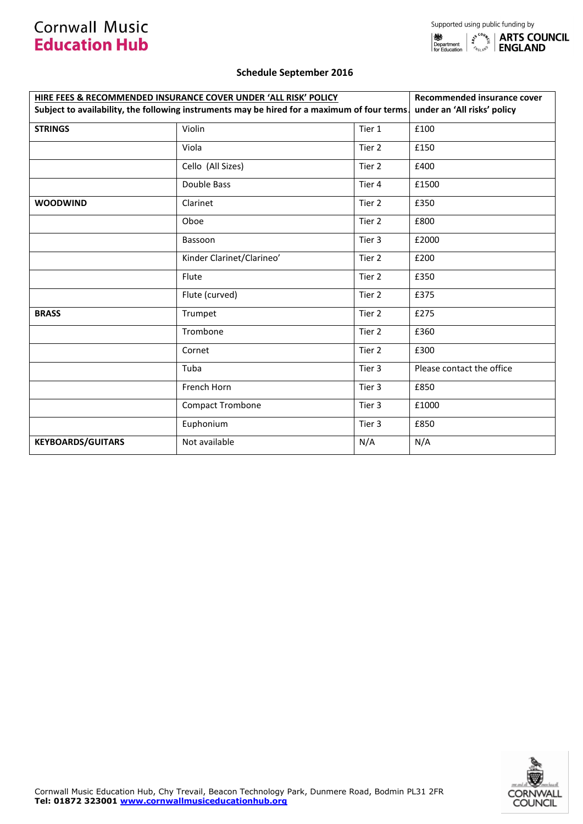# **Schedule September 2016**

| HIRE FEES & RECOMMENDED INSURANCE COVER UNDER 'ALL RISK' POLICY                              | Recommended insurance cover |        |                             |  |
|----------------------------------------------------------------------------------------------|-----------------------------|--------|-----------------------------|--|
| Subject to availability, the following instruments may be hired for a maximum of four terms. |                             |        | under an 'All risks' policy |  |
| <b>STRINGS</b>                                                                               | Violin                      | Tier 1 | £100                        |  |
|                                                                                              | Viola                       | Tier 2 | £150                        |  |
|                                                                                              | Cello (All Sizes)           | Tier 2 | £400                        |  |
|                                                                                              | Double Bass                 | Tier 4 | £1500                       |  |
| <b>WOODWIND</b>                                                                              | Clarinet                    | Tier 2 | £350                        |  |
|                                                                                              | Oboe                        | Tier 2 | £800                        |  |
|                                                                                              | Bassoon                     | Tier 3 | £2000                       |  |
|                                                                                              | Kinder Clarinet/Clarineo'   | Tier 2 | £200                        |  |
|                                                                                              | Flute                       | Tier 2 | £350                        |  |
|                                                                                              | Flute (curved)              | Tier 2 | £375                        |  |
| <b>BRASS</b>                                                                                 | Trumpet                     | Tier 2 | £275                        |  |
|                                                                                              | Trombone                    | Tier 2 | £360                        |  |
|                                                                                              | Cornet                      | Tier 2 | £300                        |  |
|                                                                                              | Tuba                        | Tier 3 | Please contact the office   |  |
|                                                                                              | French Horn                 | Tier 3 | £850                        |  |
|                                                                                              | <b>Compact Trombone</b>     | Tier 3 | £1000                       |  |
|                                                                                              | Euphonium                   | Tier 3 | £850                        |  |
| <b>KEYBOARDS/GUITARS</b>                                                                     | Not available               | N/A    | N/A                         |  |